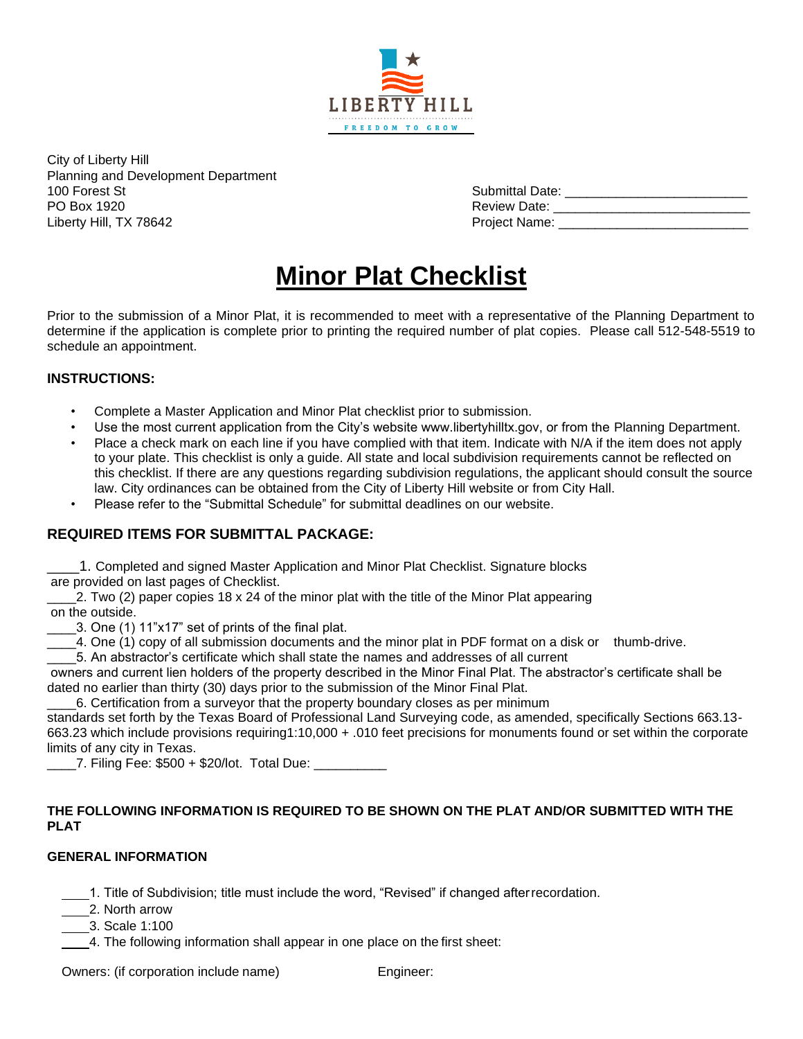

City of Liberty Hill Planning and Development Department

100 Forest St Submittal Date: \_\_\_\_\_\_\_\_\_\_\_\_\_\_\_\_\_\_\_\_\_\_\_\_\_ PO Box 1920 Review Date: \_\_\_\_\_\_\_\_\_\_\_\_\_\_\_\_\_\_\_\_\_\_\_\_\_\_\_\_\_\_\_ Liberty Hill, TX 78642 Project Name: \_\_\_\_\_\_\_\_\_\_\_\_\_\_\_\_\_\_\_\_\_\_\_\_\_\_

# **Minor Plat Checklist**

Prior to the submission of a Minor Plat, it is recommended to meet with a representative of the Planning Department to determine if the application is complete prior to printing the required number of plat copies. Please call 512-548-5519 to schedule an appointment.

### **INSTRUCTIONS:**

- Complete a Master Application and Minor Plat checklist prior to submission.
- Use the most current application from the City's website www.libertyhilltx.gov, or from the Planning Department.
- Place a check mark on each line if you have complied with that item. Indicate with N/A if the item does not apply to your plate. This checklist is only a guide. All state and local subdivision requirements cannot be reflected on this checklist. If there are any questions regarding subdivision regulations, the applicant should consult the source law. City ordinances can be obtained from the City of Liberty Hill website or from City Hall.
- Please refer to the "Submittal Schedule" for submittal deadlines on our website.

# **REQUIRED ITEMS FOR SUBMITTAL PACKAGE:**

\_\_\_\_1. Completed and signed Master Application and Minor Plat Checklist. Signature blocks are provided on last pages of Checklist.

 $2$ . Two (2) paper copies 18 x 24 of the minor plat with the title of the Minor Plat appearing on the outside.

\_\_\_\_3. One (1) 11"x17" set of prints of the final plat.

\_\_\_\_4. One (1) copy of all submission documents and the minor plat in PDF format on a disk or thumb-drive.

\_\_\_\_5. An abstractor's certificate which shall state the names and addresses of all current

owners and current lien holders of the property described in the Minor Final Plat. The abstractor's certificate shall be dated no earlier than thirty (30) days prior to the submission of the Minor Final Plat.

\_\_\_\_6. Certification from a surveyor that the property boundary closes as per minimum

standards set forth by the Texas Board of Professional Land Surveying code, as amended, specifically Sections 663.13- 663.23 which include provisions requiring1:10,000 + .010 feet precisions for monuments found or set within the corporate limits of any city in Texas.

\_\_\_\_7. Filing Fee: \$500 + \$20/lot. Total Due: \_\_\_\_\_\_\_\_\_\_

#### **THE FOLLOWING INFORMATION IS REQUIRED TO BE SHOWN ON THE PLAT AND/OR SUBMITTED WITH THE PLAT**

#### **GENERAL INFORMATION**

1. Title of Subdivision; title must include the word, "Revised" if changed afterrecordation.

- 2. North arrow
- 3. Scale 1:100

4. The following information shall appear in one place on the first sheet:

Owners: (if corporation include name) Engineer: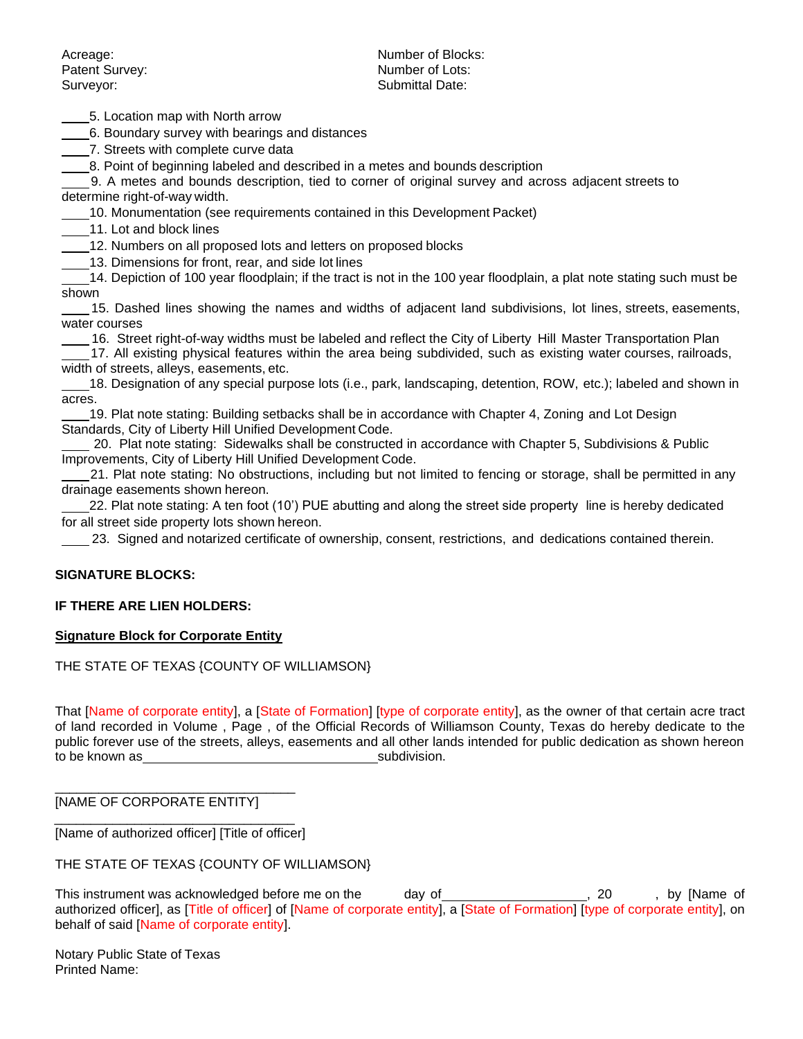Surveyor: Submittal Date:

Acreage: Number of Blocks: Patent Survey: Number of Lots:

5. Location map with North arrow

6. Boundary survey with bearings and distances

7. Streets with complete curve data

**8. Point of beginning labeled and described in a metes and bounds description** 

9. A metes and bounds description, tied to corner of original survey and across adjacent streets to determine right-of-way width.

10. Monumentation (see requirements contained in this Development Packet)

11. Lot and block lines

12. Numbers on all proposed lots and letters on proposed blocks

13. Dimensions for front, rear, and side lot lines

14. Depiction of 100 year floodplain; if the tract is not in the 100 year floodplain, a plat note stating such must be shown

15. Dashed lines showing the names and widths of adjacent land subdivisions, lot lines, streets, easements, water courses

16. Street right-of-way widths must be labeled and reflect the City of Liberty Hill Master Transportation Plan

17. All existing physical features within the area being subdivided, such as existing water courses, railroads, width of streets, alleys, easements, etc.

18. Designation of any special purpose lots (i.e., park, landscaping, detention, ROW, etc.); labeled and shown in acres.

19. Plat note stating: Building setbacks shall be in accordance with Chapter 4, Zoning and Lot Design Standards, City of Liberty Hill Unified Development Code.

20. Plat note stating: Sidewalks shall be constructed in accordance with Chapter 5, Subdivisions & Public Improvements, City of Liberty Hill Unified Development Code.

21. Plat note stating: No obstructions, including but not limited to fencing or storage, shall be permitted in any drainage easements shown hereon.

22. Plat note stating: A ten foot (10') PUE abutting and along the street side property line is hereby dedicated for all street side property lots shown hereon.

23. Signed and notarized certificate of ownership, consent, restrictions, and dedications contained therein.

#### **SIGNATURE BLOCKS:**

#### **IF THERE ARE LIEN HOLDERS:**

#### **Signature Block for Corporate Entity**

#### THE STATE OF TEXAS {COUNTY OF WILLIAMSON}

That [Name of corporate entity], a [State of Formation] [type of corporate entity], as the owner of that certain acre tract of land recorded in Volume , Page , of the Official Records of Williamson County, Texas do hereby dedicate to the public forever use of the streets, alleys, easements and all other lands intended for public dedication as shown hereon to be known as subdivision.

[NAME OF CORPORATE ENTITY]

\_\_\_\_\_\_\_\_\_\_\_\_\_\_\_\_\_\_\_\_\_\_\_\_\_\_\_\_\_\_\_\_\_ [Name of authorized officer] [Title of officer]

\_\_\_\_\_\_\_\_\_\_\_\_\_\_\_\_\_\_\_\_\_\_\_\_\_\_\_\_\_\_\_\_\_

THE STATE OF TEXAS {COUNTY OF WILLIAMSON}

This instrument was acknowledged before me on the day of \_\_\_\_\_\_\_\_\_\_\_\_\_\_\_\_\_\_\_\_, 20 , by [Name of authorized officer], as [Title of officer] of [Name of corporate entity], a [State of Formation] [type of corporate entity], on behalf of said [Name of corporate entity].

Notary Public State of Texas Printed Name: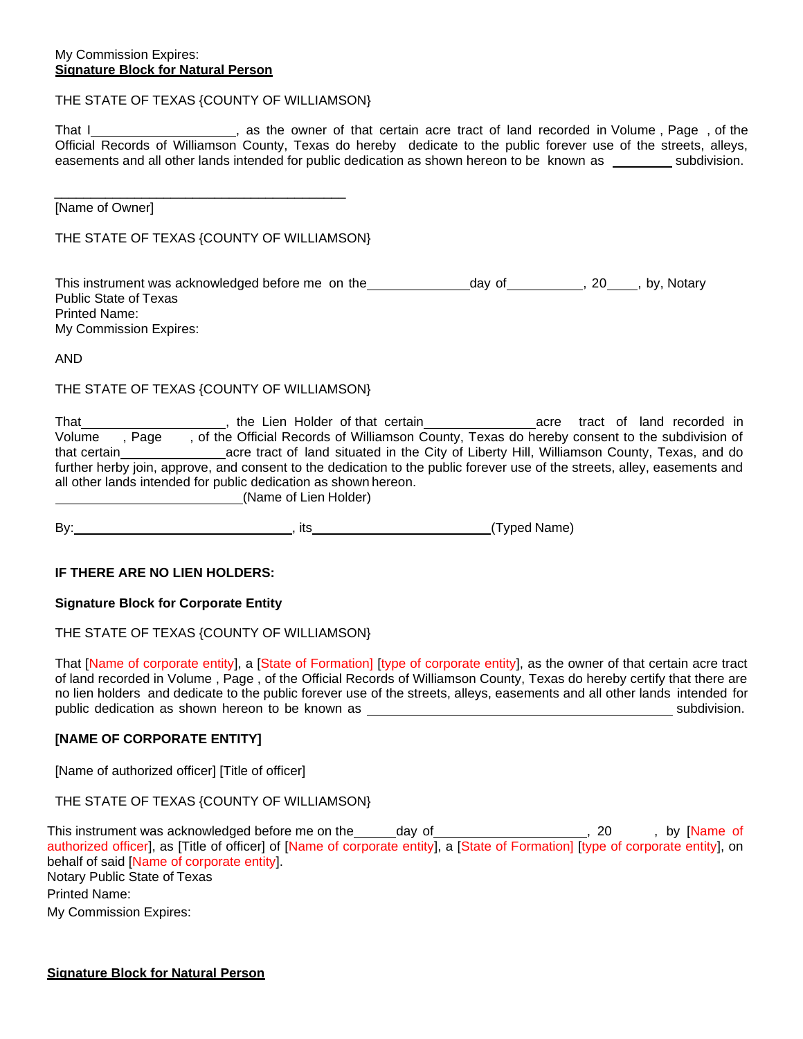#### THE STATE OF TEXAS {COUNTY OF WILLIAMSON}

That I https://www.mathbook.com/sites-tract of land recorded in Volume , Page , of the Official Records of Williamson County, Texas do hereby dedicate to the public forever use of the streets, alleys, easements and all other lands intended for public dedication as shown hereon to be known as subdivision.

[Name of Owner]

THE STATE OF TEXAS {COUNTY OF WILLIAMSON}

\_\_\_\_\_\_\_\_\_\_\_\_\_\_\_\_\_\_\_\_\_\_\_\_\_\_\_\_\_\_\_\_\_\_\_\_\_\_\_\_

This instrument was acknowledged before me on the day of day of 100 , 20 , by, Notary Public State of Texas Printed Name: My Commission Expires:

AND

#### THE STATE OF TEXAS {COUNTY OF WILLIAMSON}

| That           | the Lien Holder of that certain                                                                                           |  | acre tract of land recorded in |
|----------------|---------------------------------------------------------------------------------------------------------------------------|--|--------------------------------|
| Volume<br>Page | , of the Official Records of Williamson County, Texas do hereby consent to the subdivision of                             |  |                                |
| that certain   | acre tract of land situated in the City of Liberty Hill, Williamson County, Texas, and do                                 |  |                                |
|                | further herby join, approve, and consent to the dedication to the public forever use of the streets, alley, easements and |  |                                |
|                | all other lands intended for public dedication as shown hereon.                                                           |  |                                |
|                | $\Delta$                                                                                                                  |  |                                |

(Name of Lien Holder)

By: (Typed Name) and the set of the set of the set of the set of the set of the set of the set of the set of the set of the set of the set of the set of the set of the set of the set of the set of the set of the set of the

#### **IF THERE ARE NO LIEN HOLDERS:**

**Signature Block for Corporate Entity**

#### THE STATE OF TEXAS {COUNTY OF WILLIAMSON}

That [Name of corporate entity], a [State of Formation] [type of corporate entity], as the owner of that certain acre tract of land recorded in Volume , Page , of the Official Records of Williamson County, Texas do hereby certify that there are no lien holders and dedicate to the public forever use of the streets, alleys, easements and all other lands intended for public dedication as shown hereon to be known as subdivision.

#### **[NAME OF CORPORATE ENTITY]**

[Name of authorized officer] [Title of officer]

THE STATE OF TEXAS {COUNTY OF WILLIAMSON}

This instrument was acknowledged before me on the \_\_\_\_\_day of \_\_\_\_\_\_\_\_\_\_\_\_\_\_\_\_\_\_\_, 20 , by [Name of authorized officer], as [Title of officer] of [Name of corporate entity], a [State of Formation] [type of corporate entity], on behalf of said [Name of corporate entity]. Notary Public State of Texas Printed Name: My Commission Expires: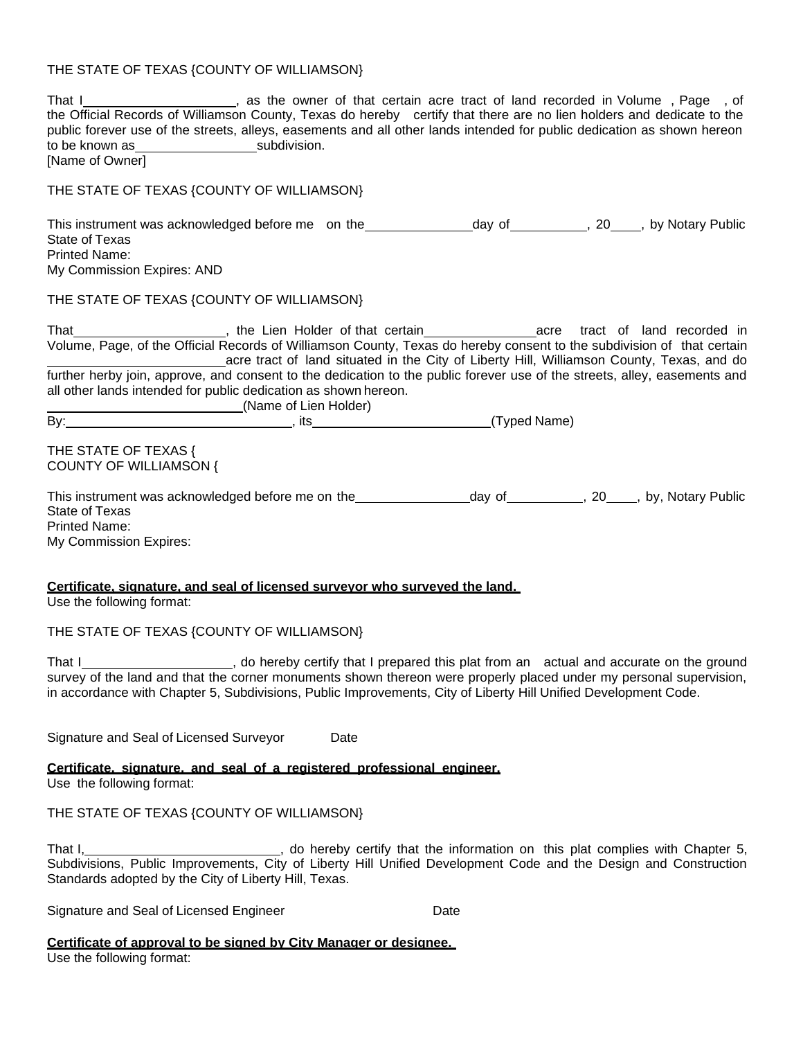# THE STATE OF TEXAS {COUNTY OF WILLIAMSON}

| That I_______________________, as the owner of that certain acre tract of land recorded in Volume, Page, of<br>the Official Records of Williamson County, Texas do hereby certify that there are no lien holders and dedicate to the<br>public forever use of the streets, alleys, easements and all other lands intended for public dedication as shown hereon<br>[Name of Owner]<br>THE STATE OF TEXAS {COUNTY OF WILLIAMSON} |
|---------------------------------------------------------------------------------------------------------------------------------------------------------------------------------------------------------------------------------------------------------------------------------------------------------------------------------------------------------------------------------------------------------------------------------|
|                                                                                                                                                                                                                                                                                                                                                                                                                                 |
| This instrument was acknowledged before me on the________________day of__________, 20____, by Notary Public<br>State of Texas<br><b>Printed Name:</b><br>My Commission Expires: AND                                                                                                                                                                                                                                             |
| THE STATE OF TEXAS {COUNTY OF WILLIAMSON}                                                                                                                                                                                                                                                                                                                                                                                       |
| acre tract of land situated in the City of Liberty Hill, Williamson County, Texas, and do<br>further herby join, approve, and consent to the dedication to the public forever use of the streets, alley, easements and<br>all other lands intended for public dedication as shown hereon.<br>_________________________________(Name of Lien Holder)                                                                             |
| By: (Typed Name) (By: 1992)                                                                                                                                                                                                                                                                                                                                                                                                     |
| THE STATE OF TEXAS {<br><b>COUNTY OF WILLIAMSON {</b>                                                                                                                                                                                                                                                                                                                                                                           |
| This instrument was acknowledged before me on the _________________day of __________, 20____, by, Notary Public<br>State of Texas<br><b>Printed Name:</b><br>My Commission Expires:                                                                                                                                                                                                                                             |
| Certificate, signature, and seal of licensed survevor who surveved the land.<br>Use the following format:                                                                                                                                                                                                                                                                                                                       |
| THE STATE OF TEXAS {COUNTY OF WILLIAMSON}                                                                                                                                                                                                                                                                                                                                                                                       |
| That I______________________, do hereby certify that I prepared this plat from an actual and accurate on the ground<br>survey of the land and that the corner monuments shown thereon were properly placed under my personal supe<br>in accordance with Chapter 5, Subdivisions, Public Improvements, City of Liberty Hill Unified Development Code.                                                                            |
| Signature and Seal of Licensed Surveyor<br>Date                                                                                                                                                                                                                                                                                                                                                                                 |
| Certificate, signature, and seal of a registered professional engineer.                                                                                                                                                                                                                                                                                                                                                         |
| Use the following format:                                                                                                                                                                                                                                                                                                                                                                                                       |
| THE STATE OF TEXAS {COUNTY OF WILLIAMSON}                                                                                                                                                                                                                                                                                                                                                                                       |
| That I, Internal Chapter 5, the offereby certify that the information on this plat complies with Chapter 5, Subdivisions, Public Improvements, City of Liberty Hill Unified Development Code and the Design and Construction<br>Standards adopted by the City of Liberty Hill, Texas.                                                                                                                                           |
| Signature and Seal of Licensed Engineer<br>Date                                                                                                                                                                                                                                                                                                                                                                                 |
| Certificate of approval to be signed by City Manager or designee.<br>Use the following format:                                                                                                                                                                                                                                                                                                                                  |